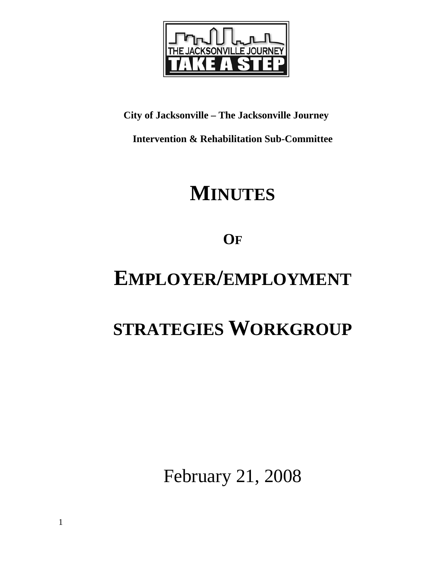

**City of Jacksonville – The Jacksonville Journey** 

**Intervention & Rehabilitation Sub-Committee** 

# **MINUTES**

**OF**

# **EMPLOYER/EMPLOYMENT**

# **STRATEGIES WORKGROUP**

February 21, 2008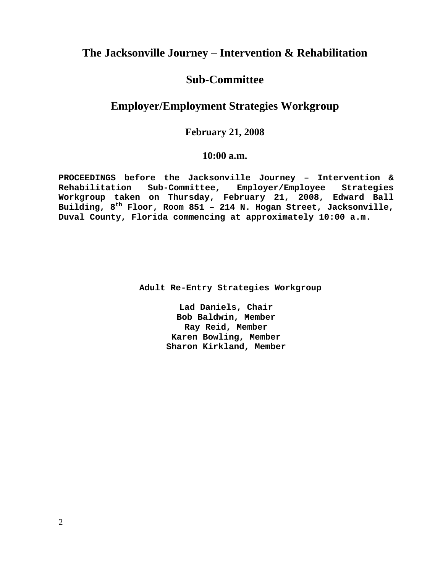## **The Jacksonville Journey – Intervention & Rehabilitation**

## **Sub-Committee**

# **Employer/Employment Strategies Workgroup**

# **February 21, 2008**

### **10:00 a.m.**

**PROCEEDINGS before the Jacksonville Journey – Intervention & Rehabilitation Sub-Committee, Employer/Employee Strategies Workgroup taken on Thursday, February 21, 2008, Edward Ball Building, 8th Floor, Room 851 – 214 N. Hogan Street, Jacksonville, Duval County, Florida commencing at approximately 10:00 a.m.** 

 **Adult Re-Entry Strategies Workgroup** 

**Lad Daniels, Chair Bob Baldwin, Member Ray Reid, Member Karen Bowling, Member Sharon Kirkland, Member**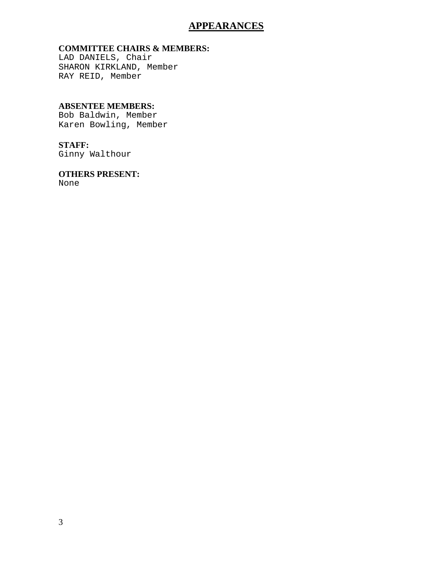### **APPEARANCES**

#### **COMMITTEE CHAIRS & MEMBERS:**

LAD DANIELS, Chair SHARON KIRKLAND, Member RAY REID, Member

#### **ABSENTEE MEMBERS:**

Bob Baldwin, Member Karen Bowling, Member

### **STAFF:**

Ginny Walthour

#### **OTHERS PRESENT:**  None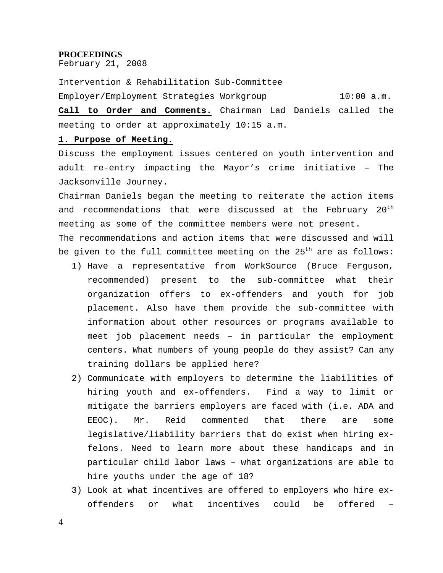#### **PROCEEDINGS**

February 21, 2008

Intervention & Rehabilitation Sub-Committee Employer/Employment Strategies Workgroup 10:00 a.m.

**Call to Order and Comments.** Chairman Lad Daniels called the meeting to order at approximately 10:15 a.m.

#### **1. Purpose of Meeting.**

Discuss the employment issues centered on youth intervention and adult re-entry impacting the Mayor's crime initiative – The Jacksonville Journey.

Chairman Daniels began the meeting to reiterate the action items and recommendations that were discussed at the February 20<sup>th</sup> meeting as some of the committee members were not present.

The recommendations and action items that were discussed and will be given to the full committee meeting on the  $25<sup>th</sup>$  are as follows:

- 1) Have a representative from WorkSource (Bruce Ferguson, recommended) present to the sub-committee what their organization offers to ex-offenders and youth for job placement. Also have them provide the sub-committee with information about other resources or programs available to meet job placement needs – in particular the employment centers. What numbers of young people do they assist? Can any training dollars be applied here?
- 2) Communicate with employers to determine the liabilities of hiring youth and ex-offenders. Find a way to limit or mitigate the barriers employers are faced with (i.e. ADA and EEOC). Mr. Reid commented that there are some legislative/liability barriers that do exist when hiring exfelons. Need to learn more about these handicaps and in particular child labor laws – what organizations are able to hire youths under the age of 18?
- 3) Look at what incentives are offered to employers who hire exoffenders or what incentives could be offered –

4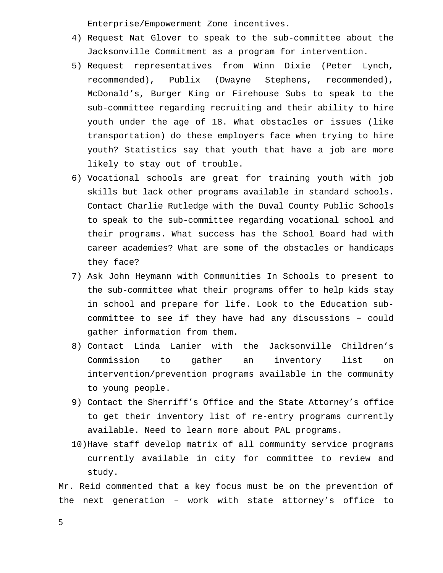Enterprise/Empowerment Zone incentives.

- 4) Request Nat Glover to speak to the sub-committee about the Jacksonville Commitment as a program for intervention.
- 5) Request representatives from Winn Dixie (Peter Lynch, recommended), Publix (Dwayne Stephens, recommended), McDonald's, Burger King or Firehouse Subs to speak to the sub-committee regarding recruiting and their ability to hire youth under the age of 18. What obstacles or issues (like transportation) do these employers face when trying to hire youth? Statistics say that youth that have a job are more likely to stay out of trouble.
- 6) Vocational schools are great for training youth with job skills but lack other programs available in standard schools. Contact Charlie Rutledge with the Duval County Public Schools to speak to the sub-committee regarding vocational school and their programs. What success has the School Board had with career academies? What are some of the obstacles or handicaps they face?
- 7) Ask John Heymann with Communities In Schools to present to the sub-committee what their programs offer to help kids stay in school and prepare for life. Look to the Education subcommittee to see if they have had any discussions – could gather information from them.
- 8) Contact Linda Lanier with the Jacksonville Children's Commission to gather an inventory list on intervention/prevention programs available in the community to young people.
- 9) Contact the Sherriff's Office and the State Attorney's office to get their inventory list of re-entry programs currently available. Need to learn more about PAL programs.
- 10)Have staff develop matrix of all community service programs currently available in city for committee to review and study.

Mr. Reid commented that a key focus must be on the prevention of the next generation – work with state attorney's office to

5